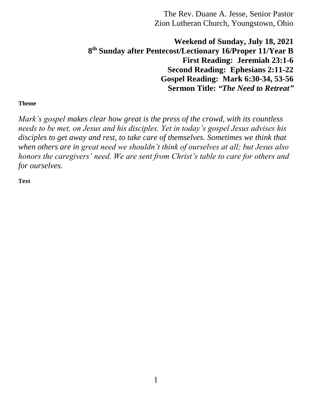**Weekend of Sunday, July 18, 2021 8 th Sunday after Pentecost/Lectionary 16/Proper 11/Year B First Reading: Jeremiah 23:1-6 Second Reading: Ephesians 2:11-22 Gospel Reading: Mark 6:30-34, 53-56 Sermon Title:** *"The Need to Retreat"*

## **Theme**

*Mark's gospel makes clear how great is the press of the crowd, with its countless needs to be met, on Jesus and his disciples. Yet in today's gospel Jesus advises his*  disciples to get away and rest, to take care of themselves. Sometimes we think that *when others are in great need we shouldn't think of ourselves at all; but Jesus also honors the caregivers' need. We are sent from Christ's table to care for others and for ourselves.*

**Text**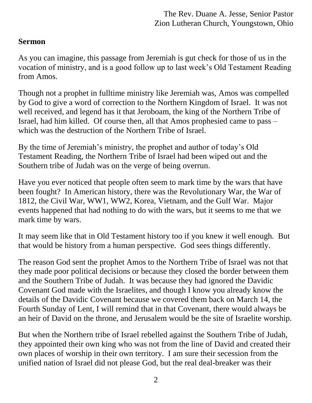## **Sermon**

As you can imagine, this passage from Jeremiah is gut check for those of us in the vocation of ministry, and is a good follow up to last week's Old Testament Reading from Amos.

Though not a prophet in fulltime ministry like Jeremiah was, Amos was compelled by God to give a word of correction to the Northern Kingdom of Israel. It was not well received, and legend has it that Jeroboam, the king of the Northern Tribe of Israel, had him killed. Of course then, all that Amos prophesied came to pass – which was the destruction of the Northern Tribe of Israel.

By the time of Jeremiah's ministry, the prophet and author of today's Old Testament Reading, the Northern Tribe of Israel had been wiped out and the Southern tribe of Judah was on the verge of being overrun.

Have you ever noticed that people often seem to mark time by the wars that have been fought? In American history, there was the Revolutionary War, the War of 1812, the Civil War, WW1, WW2, Korea, Vietnam, and the Gulf War. Major events happened that had nothing to do with the wars, but it seems to me that we mark time by wars.

It may seem like that in Old Testament history too if you knew it well enough. But that would be history from a human perspective. God sees things differently.

The reason God sent the prophet Amos to the Northern Tribe of Israel was not that they made poor political decisions or because they closed the border between them and the Southern Tribe of Judah. It was because they had ignored the Davidic Covenant God made with the Israelites, and though I know you already know the details of the Davidic Covenant because we covered them back on March 14, the Fourth Sunday of Lent, I will remind that in that Covenant, there would always be an heir of David on the throne, and Jerusalem would be the site of Israelite worship.

But when the Northern tribe of Israel rebelled against the Southern Tribe of Judah, they appointed their own king who was not from the line of David and created their own places of worship in their own territory. I am sure their secession from the unified nation of Israel did not please God, but the real deal-breaker was their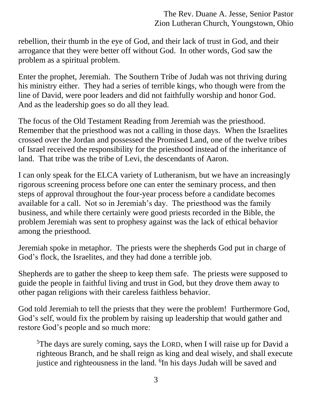rebellion, their thumb in the eye of God, and their lack of trust in God, and their arrogance that they were better off without God. In other words, God saw the problem as a spiritual problem.

Enter the prophet, Jeremiah. The Southern Tribe of Judah was not thriving during his ministry either. They had a series of terrible kings, who though were from the line of David, were poor leaders and did not faithfully worship and honor God. And as the leadership goes so do all they lead.

The focus of the Old Testament Reading from Jeremiah was the priesthood. Remember that the priesthood was not a calling in those days. When the Israelites crossed over the Jordan and possessed the Promised Land, one of the twelve tribes of Israel received the responsibility for the priesthood instead of the inheritance of land. That tribe was the tribe of Levi, the descendants of Aaron.

I can only speak for the ELCA variety of Lutheranism, but we have an increasingly rigorous screening process before one can enter the seminary process, and then steps of approval throughout the four-year process before a candidate becomes available for a call. Not so in Jeremiah's day. The priesthood was the family business, and while there certainly were good priests recorded in the Bible, the problem Jeremiah was sent to prophesy against was the lack of ethical behavior among the priesthood.

Jeremiah spoke in metaphor. The priests were the shepherds God put in charge of God's flock, the Israelites, and they had done a terrible job.

Shepherds are to gather the sheep to keep them safe. The priests were supposed to guide the people in faithful living and trust in God, but they drove them away to other pagan religions with their careless faithless behavior.

God told Jeremiah to tell the priests that they were the problem! Furthermore God, God's self, would fix the problem by raising up leadership that would gather and restore God's people and so much more:

<sup>5</sup>The days are surely coming, says the LORD, when I will raise up for David a righteous Branch, and he shall reign as king and deal wisely, and shall execute justice and righteousness in the land. <sup>6</sup>In his days Judah will be saved and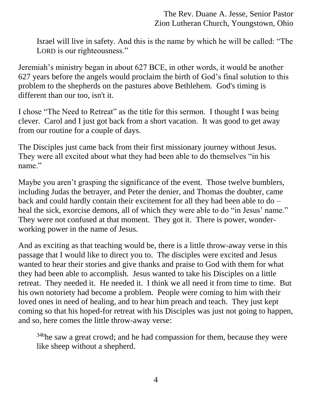Israel will live in safety. And this is the name by which he will be called: "The LORD is our righteousness."

Jeremiah's ministry began in about 627 BCE, in other words, it would be another 627 years before the angels would proclaim the birth of God's final solution to this problem to the shepherds on the pastures above Bethlehem. God's timing is different than our too, isn't it.

I chose "The Need to Retreat" as the title for this sermon. I thought I was being clever. Carol and I just got back from a short vacation. It was good to get away from our routine for a couple of days.

The Disciples just came back from their first missionary journey without Jesus. They were all excited about what they had been able to do themselves "in his name."

Maybe you aren't grasping the significance of the event. Those twelve bumblers, including Judas the betrayer, and Peter the denier, and Thomas the doubter, came back and could hardly contain their excitement for all they had been able to do – heal the sick, exorcise demons, all of which they were able to do "in Jesus' name." They were not confused at that moment. They got it. There is power, wonderworking power in the name of Jesus.

And as exciting as that teaching would be, there is a little throw-away verse in this passage that I would like to direct you to. The disciples were excited and Jesus wanted to hear their stories and give thanks and praise to God with them for what they had been able to accomplish. Jesus wanted to take his Disciples on a little retreat. They needed it. He needed it. I think we all need it from time to time. But his own notoriety had become a problem. People were coming to him with their loved ones in need of healing, and to hear him preach and teach. They just kept coming so that his hoped-for retreat with his Disciples was just not going to happen, and so, here comes the little throw-away verse:

<sup>34b</sup>he saw a great crowd; and he had compassion for them, because they were like sheep without a shepherd.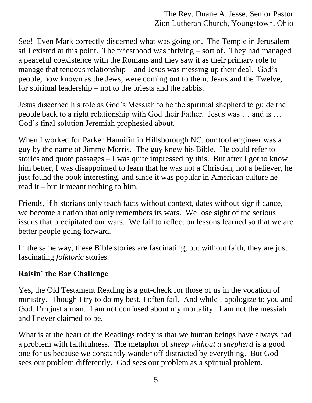See! Even Mark correctly discerned what was going on. The Temple in Jerusalem still existed at this point. The priesthood was thriving – sort of. They had managed a peaceful coexistence with the Romans and they saw it as their primary role to manage that tenuous relationship – and Jesus was messing up their deal. God's people, now known as the Jews, were coming out to them, Jesus and the Twelve, for spiritual leadership – not to the priests and the rabbis.

Jesus discerned his role as God's Messiah to be the spiritual shepherd to guide the people back to a right relationship with God their Father. Jesus was … and is … God's final solution Jeremiah prophesied about.

When I worked for Parker Hannifin in Hillsborough NC, our tool engineer was a guy by the name of Jimmy Morris. The guy knew his Bible. He could refer to stories and quote passages  $-1$  was quite impressed by this. But after I got to know him better, I was disappointed to learn that he was not a Christian, not a believer, he just found the book interesting, and since it was popular in American culture he read it – but it meant nothing to him.

Friends, if historians only teach facts without context, dates without significance, we become a nation that only remembers its wars. We lose sight of the serious issues that precipitated our wars. We fail to reflect on lessons learned so that we are better people going forward.

In the same way, these Bible stories are fascinating, but without faith, they are just fascinating *folkloric* stories.

## **Raisin' the Bar Challenge**

Yes, the Old Testament Reading is a gut-check for those of us in the vocation of ministry. Though I try to do my best, I often fail. And while I apologize to you and God, I'm just a man. I am not confused about my mortality. I am not the messiah and I never claimed to be.

What is at the heart of the Readings today is that we human beings have always had a problem with faithfulness. The metaphor of *sheep without a shepherd* is a good one for us because we constantly wander off distracted by everything. But God sees our problem differently. God sees our problem as a spiritual problem.